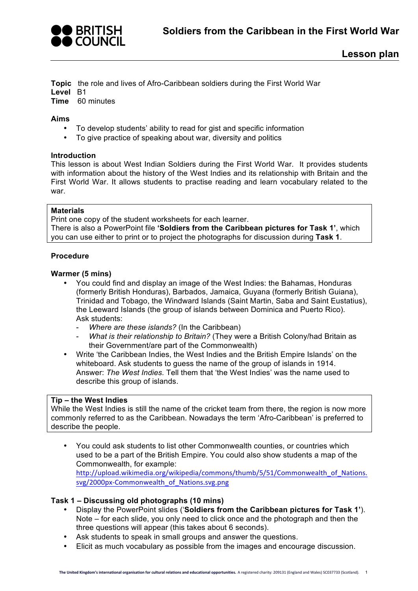

**Topic** the role and lives of Afro-Caribbean soldiers during the First World War

**Level** B1

**Time** 60 minutes

# **Aims**

- To develop students' ability to read for gist and specific information
- To give practice of speaking about war, diversity and politics

### **Introduction**

This lesson is about West Indian Soldiers during the First World War. It provides students with information about the history of the West Indies and its relationship with Britain and the First World War. It allows students to practise reading and learn vocabulary related to the war.

### **Materials**

Print one copy of the student worksheets for each learner. There is also a PowerPoint file **'Soldiers from the Caribbean pictures for Task 1'**, which you can use either to print or to project the photographs for discussion during **Task 1**.

### **Procedure**

### **Warmer (5 mins)**

- You could find and display an image of the West Indies: the Bahamas, Honduras (formerly British Honduras), Barbados, Jamaica, Guyana (formerly British Guiana), Trinidad and Tobago, the Windward Islands (Saint Martin, Saba and Saint Eustatius), the Leeward Islands (the group of islands between Dominica and Puerto Rico). Ask students:
	- *Where are these islands?* (In the Caribbean)
	- *What is their relationship to Britain?* (They were a British Colony/had Britain as their Government/are part of the Commonwealth)
- Write 'the Caribbean Indies, the West Indies and the British Empire Islands' on the whiteboard. Ask students to guess the name of the group of islands in 1914. Answer: *The West Indies.* Tell them that 'the West Indies' was the name used to describe this group of islands.

#### **Tip – the West Indies**

While the West Indies is still the name of the cricket team from there, the region is now more commonly referred to as the Caribbean. Nowadays the term 'Afro-Caribbean' is preferred to describe the people.

• You could ask students to list other Commonwealth counties, or countries which used to be a part of the British Empire. You could also show students a map of the Commonwealth, for example: http://upload.wikimedia.org/wikipedia/commons/thumb/5/51/Commonwealth\_of\_Nations. svg/2000px-Commonwealth\_of\_Nations.svg.png

# **Task 1 – Discussing old photographs (10 mins)**

- Display the PowerPoint slides ('**Soldiers from the Caribbean pictures for Task 1'**). Note – for each slide, you only need to click once and the photograph and then the three questions will appear (this takes about 6 seconds).
- Ask students to speak in small groups and answer the questions.
- Elicit as much vocabulary as possible from the images and encourage discussion.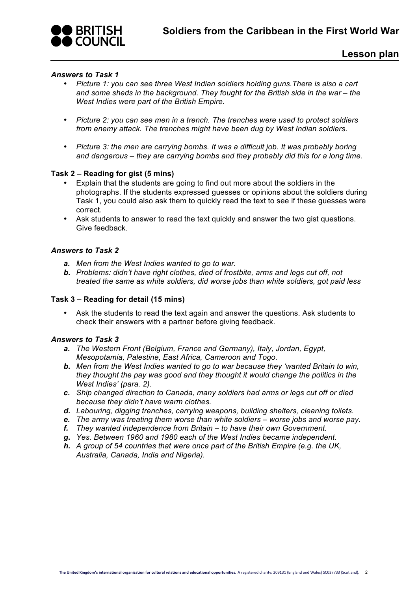

# *Answers to Task 1*

- *Picture 1: you can see three West Indian soldiers holding guns.There is also a cart and some sheds in the background. They fought for the British side in the war – the West Indies were part of the British Empire.*
- *Picture 2: you can see men in a trench. The trenches were used to protect soldiers from enemy attack. The trenches might have been dug by West Indian soldiers.*
- *Picture 3: the men are carrying bombs. It was a difficult job. It was probably boring and dangerous – they are carrying bombs and they probably did this for a long time.*

### **Task 2 – Reading for gist (5 mins)**

- Explain that the students are going to find out more about the soldiers in the photographs. If the students expressed guesses or opinions about the soldiers during Task 1, you could also ask them to quickly read the text to see if these guesses were correct.
- Ask students to answer to read the text quickly and answer the two gist questions. Give feedback.

### *Answers to Task 2*

- *a. Men from the West Indies wanted to go to war.*
- *b. Problems: didn't have right clothes, died of frostbite, arms and legs cut off, not treated the same as white soldiers, did worse jobs than white soldiers, got paid less*

#### **Task 3 – Reading for detail (15 mins)**

Ask the students to read the text again and answer the questions. Ask students to check their answers with a partner before giving feedback.

#### *Answers to Task 3*

- *a. The Western Front (Belgium, France and Germany), Italy, Jordan, Egypt, Mesopotamia, Palestine, East Africa, Cameroon and Togo.*
- *b. Men from the West Indies wanted to go to war because they 'wanted Britain to win, they thought the pay was good and they thought it would change the politics in the West Indies' (para. 2).*
- *c. Ship changed direction to Canada, many soldiers had arms or legs cut off or died because they didn't have warm clothes.*
- *d. Labouring, digging trenches, carrying weapons, building shelters, cleaning toilets.*
- *e. The army was treating them worse than white soldiers – worse jobs and worse pay.*
- *f. They wanted independence from Britain – to have their own Government.*
- *g. Yes. Between 1960 and 1980 each of the West Indies became independent.*
- *h. A group of 54 countries that were once part of the British Empire (e.g. the UK, Australia, Canada, India and Nigeria).*